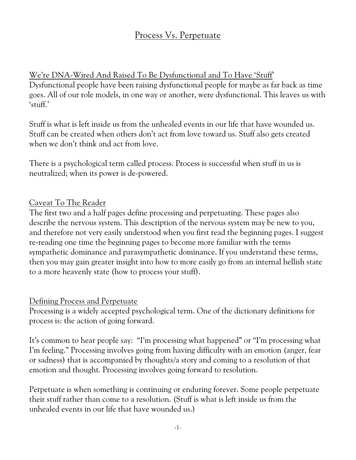## Process Vs. Perpetuate

## We're DNA-Wired And Raised To Be Dysfunctional and To Have 'Stuff'

Dysfunctional people have been raising dysfunctional people for maybe as far back as time goes. All of our role models, in one way or another, were dysfunctional. This leaves us with 'stuff.'

Stuff is what is left inside us from the unhealed events in our life that have wounded us. Stuff can be created when others don't act from love toward us. Stuff also gets created when we don't think and act from love.

There is a psychological term called process. Process is successful when stuff in us is neutralized; when its power is de-powered.

#### Caveat To The Reader

The first two and a half pages define processing and perpetuating. These pages also describe the nervous system. This description of the nervous system may be new to you, and therefore not very easily understood when you first read the beginning pages. I suggest re-reading one time the beginning pages to become more familiar with the terms sympathetic dominance and parasympathetic dominance. If you understand these terms, then you may gain greater insight into how to more easily go from an internal hellish state to a more heavenly state (how to process your stuff).

#### Defining Process and Perpetuate

Processing is a widely accepted psychological term. One of the dictionary definitions for process is: the action of going forward.

It's common to hear people say: "I'm processing what happened" or "I'm processing what I'm feeling." Processing involves going from having difficulty with an emotion (anger, fear or sadness) that is accompanied by thoughts/a story and coming to a resolution of that emotion and thought. Processing involves going forward to resolution.

Perpetuate is when something is continuing or enduring forever. Some people perpetuate their stuff rather than come to a resolution. (Stuff is what is left inside us from the unhealed events in our life that have wounded us.)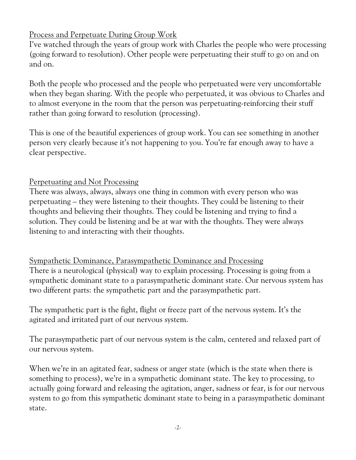## Process and Perpetuate During Group Work

I've watched through the years of group work with Charles the people who were processing (going forward to resolution). Other people were perpetuating their stuff to go on and on and on.

Both the people who processed and the people who perpetuated were very uncomfortable when they began sharing. With the people who perpetuated, it was obvious to Charles and to almost everyone in the room that the person was perpetuating-reinforcing their stuff rather than going forward to resolution (processing).

This is one of the beautiful experiences of group work. You can see something in another person very clearly because it's not happening to you. You're far enough away to have a clear perspective.

## Perpetuating and Not Processing

*There was always, always, always one thing in common with every person who was perpetuating – they were listening to their thoughts*. They could be listening to their thoughts and believing their thoughts. They could be listening and trying to find a solution. They could be listening and be at war with the thoughts. They were always listening to and interacting with their thoughts.

# Sympathetic Dominance, Parasympathetic Dominance and Processing

*There is a neurological (physical) way to explain processing. Processing is going from a sympathetic dominant state to a parasympathetic dominant state*. Our nervous system has two different parts: the sympathetic part and the parasympathetic part.

*The sympathetic part is the fight, flight or freeze part of the nervous system. It's the agitated and irritated part of our nervous system.* 

*The parasympathetic part of our nervous system is the calm, centered and relaxed part of our nervous system*.

When we're in an agitated fear, sadness or anger state (which is the state when there is something to process), we're in a sympathetic dominant state. *The key to processing, to actually going forward and releasing the agitation, anger, sadness or fear, is for our nervous system to go from this sympathetic dominant state to being in a parasympathetic dominant state*.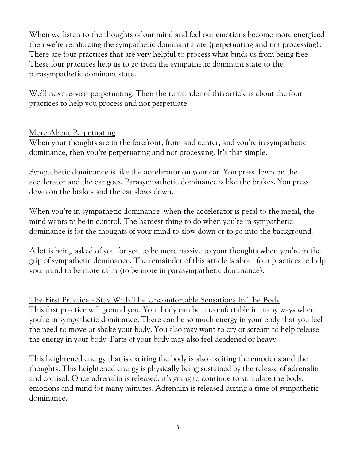When we listen to the thoughts of our mind and feel our emotions become more energized then we're reinforcing the sympathetic dominant state (perpetuating and not processing). There are four practices that are very helpful to process what binds us from being free. These four practices help us to go from the sympathetic dominant state to the parasympathetic dominant state.

We'll next re-visit perpetuating. Then the remainder of this article is about the four practices to help you process and not perpetuate.

#### More About Perpetuating

*When your thoughts are in the forefront, front and center, and you're in sympathetic dominance, then you're perpetuating and not processing. It's that simple*.

Sympathetic dominance is like the accelerator on your car. You press down on the accelerator and the car goes. Parasympathetic dominance is like the brakes. You press down on the brakes and the car slows down.

*When you're in sympathetic dominance, when the accelerator is petal to the metal, the mind wants to be in control. The hardest thing to do when you're in sympathetic dominance is for the thoughts of your mind to slow down or to go into the background*.

A lot is being asked of you for you to be more passive to your thoughts when you're in the grip of sympathetic dominance. The remainder of this article is about four practices to help your mind to be more calm (to be more in parasympathetic dominance).

The First Practice - Stay With The Uncomfortable Sensations In The Body This first practice will ground you. Your body can be uncomfortable in many ways when you're in sympathetic dominance. There can be so much energy in your body that you feel the need to move or shake your body. You also may want to cry or scream to help release the energy in your body. Parts of your body may also feel deadened or heavy.

This heightened energy that is exciting the body is also exciting the emotions and the thoughts. This heightened energy is physically being sustained by the release of adrenalin and cortisol. Once adrenalin is released, it's going to continue to stimulate the body, emotions and mind for many minutes. Adrenalin is released during a time of sympathetic dominance.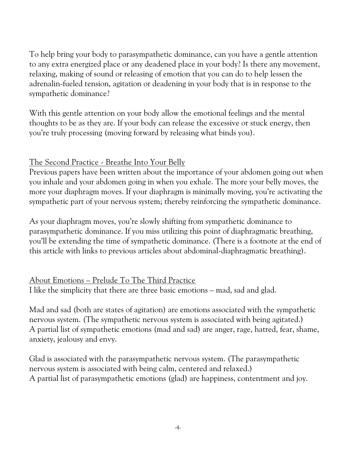To help bring your body to parasympathetic dominance, can you have a gentle attention to any extra energized place or any deadened place in your body? Is there any movement, relaxing, making of sound or releasing of emotion that you can do to help lessen the adrenalin-fueled tension, agitation or deadening in your body that is in response to the sympathetic dominance?

With this gentle attention on your body allow the emotional feelings and the mental thoughts to be as they are. If your body can release the excessive or stuck energy, then you're truly processing (moving forward by releasing what binds you).

#### The Second Practice - Breathe Into Your Belly

Previous papers have been written about the importance of your abdomen going out when you inhale and your abdomen going in when you exhale. The more your belly moves, the more your diaphragm moves. If your diaphragm is minimally moving, you're activating the sympathetic part of your nervous system; thereby reinforcing the sympathetic dominance.

As your diaphragm moves, you're slowly shifting from sympathetic dominance to parasympathetic dominance. If you miss utilizing this point of diaphragmatic breathing, you'll be extending the time of sympathetic dominance. (There is a footnote at the end of this article with links to previous articles about abdominal-diaphragmatic breathing).

## About Emotions – Prelude To The Third Practice

I like the simplicity that there are three basic emotions – mad, sad and glad.

Mad and sad (both are states of agitation) are emotions associated with the sympathetic nervous system. (The sympathetic nervous system is associated with being agitated.) A partial list of sympathetic emotions (mad and sad) are anger, rage, hatred, fear, shame, anxiety, jealousy and envy.

Glad is associated with the parasympathetic nervous system. (The parasympathetic nervous system is associated with being calm, centered and relaxed.) A partial list of parasympathetic emotions (glad) are happiness, contentment and joy.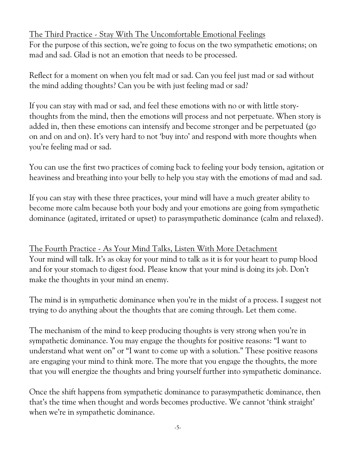## The Third Practice - Stay With The Uncomfortable Emotional Feelings

For the purpose of this section, we're going to focus on the two sympathetic emotions; on mad and sad. Glad is not an emotion that needs to be processed.

Reflect for a moment on when you felt mad or sad. Can you feel just mad or sad without the mind adding thoughts? Can you be with just feeling mad or sad?

If you can stay with mad or sad, and feel these emotions with no or with little storythoughts from the mind, then the emotions will process and not perpetuate. When story is added in, then these emotions can intensify and become stronger and be perpetuated (go on and on and on). It's very hard to not 'buy into' and respond with more thoughts when you're feeling mad or sad.

You can use the first two practices of coming back to feeling your body tension, agitation or heaviness and breathing into your belly to help you stay with the emotions of mad and sad.

If you can stay with these three practices, your mind will have a much greater ability to become more calm because both your body and your emotions are going from sympathetic dominance (agitated, irritated or upset) to parasympathetic dominance (calm and relaxed).

The Fourth Practice - As Your Mind Talks, Listen With More Detachment Your mind will talk. It's as okay for your mind to talk as it is for your heart to pump blood and for your stomach to digest food. Please know that your mind is doing its job. Don't make the thoughts in your mind an enemy.

The mind is in sympathetic dominance when you're in the midst of a process. I suggest not trying to do anything about the thoughts that are coming through. Let them come.

The mechanism of the mind to keep producing thoughts is very strong when you're in sympathetic dominance. You may engage the thoughts for positive reasons: "I want to understand what went on" or "I want to come up with a solution." These positive reasons are engaging your mind to think more. The more that you engage the thoughts, the more that you will energize the thoughts and bring yourself further into sympathetic dominance.

*Once the shift happens from sympathetic dominance to parasympathetic dominance, then that's the time when thought and words becomes productive. We cannot 'think straight' when we're in sympathetic dominance*.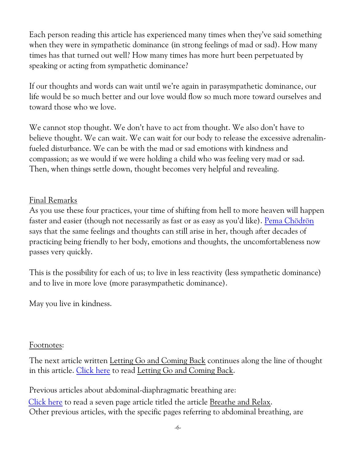Each person reading this article has experienced many times when they've said something when they were in sympathetic dominance (in strong feelings of mad or sad). How many times has that turned out well? How many times has more hurt been perpetuated by speaking or acting from sympathetic dominance?

If our thoughts and words can wait until we're again in parasympathetic dominance, our life would be so much better and our love would flow so much more toward ourselves and toward those who we love.

We cannot stop thought. We don't have to act from thought. We also don't have to believe thought. We can wait. We can wait for our body to release the excessive adrenalinfueled disturbance. We can be with the mad or sad emotions with kindness and compassion; as we would if we were holding a child who was feeling very mad or sad. Then, when things settle down, thought becomes very helpful and revealing.

#### Final Remarks

As you use these four practices, your time of shifting from hell to more heaven will happen faster and easier (though not necessarily as fast or as easy as you'd like). [Pema Chödrön](https://pemachodronfoundation.org/) says that the same feelings and thoughts can still arise in her, though after decades of practicing being friendly to her body, emotions and thoughts, the uncomfortableness now passes very quickly.

This is the possibility for each of us; to live in less reactivity (less sympathetic dominance) and to live in more love (more parasympathetic dominance).

May you live in kindness.

#### Footnotes:

The next article written Letting Go and Coming Back continues along the line of thought in this article. [Click here](http://www.petachenko.com/Letting%20Go%20and%20Coming%20Back.pdf) to read Letting Go and Coming Back.

Previous articles about abdominal-diaphragmatic breathing are: [Click here](http://www.petachenko.com/Breathe%20and%20Relax.pdf) to read a seven page article titled the article Breathe and Relax. Other previous articles, with the specific pages referring to abdominal breathing, are